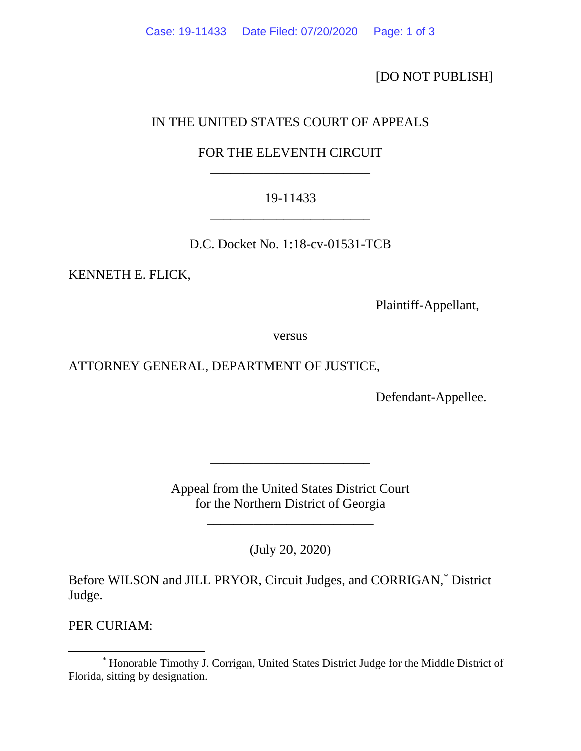[DO NOT PUBLISH]

# IN THE UNITED STATES COURT OF APPEALS

## FOR THE ELEVENTH CIRCUIT \_\_\_\_\_\_\_\_\_\_\_\_\_\_\_\_\_\_\_\_\_\_\_\_

## 19-11433 \_\_\_\_\_\_\_\_\_\_\_\_\_\_\_\_\_\_\_\_\_\_\_\_

D.C. Docket No. 1:18-cv-01531-TCB

KENNETH E. FLICK,

Plaintiff-Appellant,

versus

#### ATTORNEY GENERAL, DEPARTMENT OF JUSTICE,

Defendant-Appellee.

Appeal from the United States District Court for the Northern District of Georgia

\_\_\_\_\_\_\_\_\_\_\_\_\_\_\_\_\_\_\_\_\_\_\_\_\_

\_\_\_\_\_\_\_\_\_\_\_\_\_\_\_\_\_\_\_\_\_\_\_\_

(July 20, 2020)

Before WILSON and JILL PRYOR, Circuit Judges, and CORRIGAN, [\\*](#page-0-0) District Judge.

PER CURIAM:

<span id="page-0-0"></span><sup>\*</sup> Honorable Timothy J. Corrigan, United States District Judge for the Middle District of Florida, sitting by designation.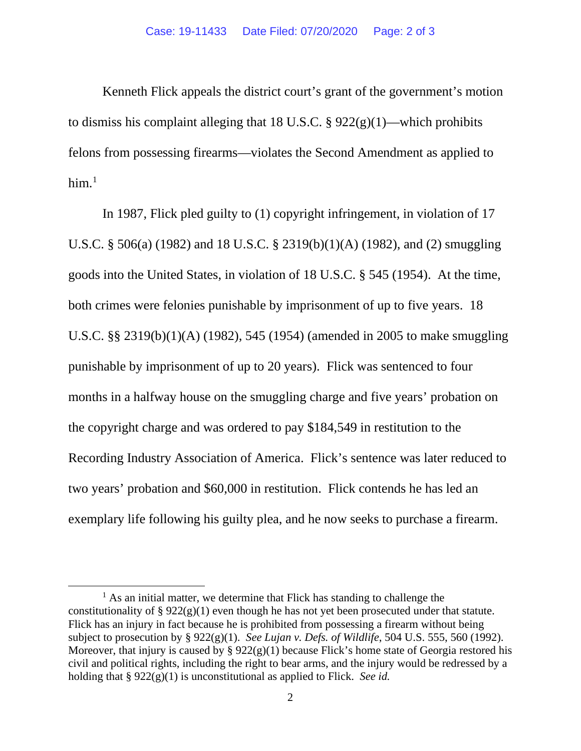Kenneth Flick appeals the district court's grant of the government's motion to dismiss his complaint alleging that 18 U.S.C. §  $922(g)(1)$ —which prohibits felons from possessing firearms—violates the Second Amendment as applied to him. [1](#page-1-0)

In 1987, Flick pled guilty to (1) copyright infringement, in violation of 17 U.S.C. § 506(a) (1982) and 18 U.S.C. § 2319(b)(1)(A) (1982), and (2) smuggling goods into the United States, in violation of 18 U.S.C. § 545 (1954). At the time, both crimes were felonies punishable by imprisonment of up to five years. 18 U.S.C. §§ 2319(b)(1)(A) (1982), 545 (1954) (amended in 2005 to make smuggling punishable by imprisonment of up to 20 years). Flick was sentenced to four months in a halfway house on the smuggling charge and five years' probation on the copyright charge and was ordered to pay \$184,549 in restitution to the Recording Industry Association of America. Flick's sentence was later reduced to two years' probation and \$60,000 in restitution. Flick contends he has led an exemplary life following his guilty plea, and he now seeks to purchase a firearm.

<span id="page-1-0"></span> $<sup>1</sup>$  As an initial matter, we determine that Flick has standing to challenge the</sup> constitutionality of § 922(g)(1) even though he has not yet been prosecuted under that statute. Flick has an injury in fact because he is prohibited from possessing a firearm without being subject to prosecution by § 922(g)(1). *See Lujan v. Defs. of Wildlife*, 504 U.S. 555, 560 (1992). Moreover, that injury is caused by §  $922(g)(1)$  because Flick's home state of Georgia restored his civil and political rights, including the right to bear arms, and the injury would be redressed by a holding that § 922(g)(1) is unconstitutional as applied to Flick. *See id.*